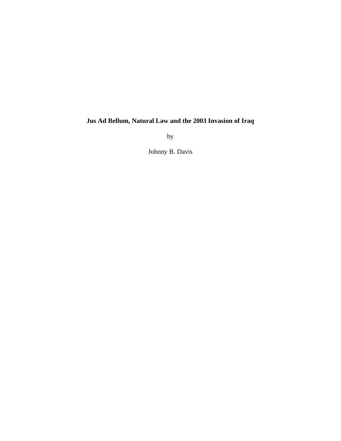# **Jus Ad Bellum, Natural Law and the 2003 Invasion of Iraq**

by

Johnny B. Davis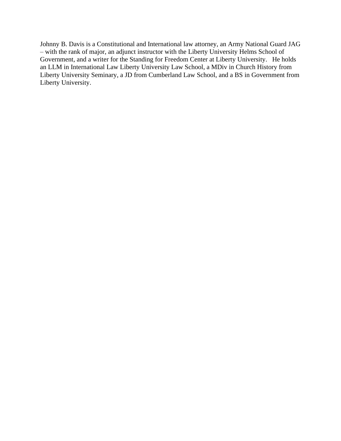Johnny B. Davis is a Constitutional and International law attorney, an Army National Guard JAG – with the rank of major, an adjunct instructor with the Liberty University Helms School of Government, and a writer for the Standing for Freedom Center at Liberty University. He holds an LLM in International Law Liberty University Law School, a MDiv in Church History from Liberty University Seminary, a JD from Cumberland Law School, and a BS in Government from Liberty University.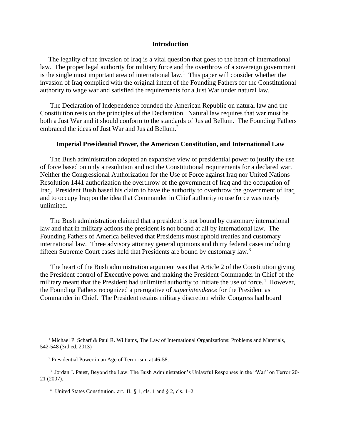#### **Introduction**

The legality of the invasion of Iraq is a vital question that goes to the heart of international law. The proper legal authority for military force and the overthrow of a sovereign government is the single most important area of international law.<sup>1</sup> This paper will consider whether the invasion of Iraq complied with the original intent of the Founding Fathers for the Constitutional authority to wage war and satisfied the requirements for a Just War under natural law.

 The Declaration of Independence founded the American Republic on natural law and the Constitution rests on the principles of the Declaration. Natural law requires that war must be both a Just War and it should conform to the standards of Jus ad Bellum. The Founding Fathers embraced the ideas of Just War and Jus ad Bellum. 2

#### **Imperial Presidential Power, the American Constitution, and International Law**

 The Bush administration adopted an expansive view of presidential power to justify the use of force based on only a resolution and not the Constitutional requirements for a declared war. Neither the Congressional Authorization for the Use of Force against Iraq nor United Nations Resolution 1441 authorization the overthrow of the government of Iraq and the occupation of Iraq. President Bush based his claim to have the authority to overthrow the government of Iraq and to occupy Iraq on the idea that Commander in Chief authority to use force was nearly unlimited.

 The Bush administration claimed that a president is not bound by customary international law and that in military actions the president is not bound at all by international law. The Founding Fathers of America believed that Presidents must uphold treaties and customary international law. Three advisory attorney general opinions and thirty federal cases including fifteen Supreme Court cases held that Presidents are bound by customary law.<sup>3</sup>

 The heart of the Bush administration argument was that Article 2 of the Constitution giving the President control of Executive power and making the President Commander in Chief of the military meant that the President had unlimited authority to initiate the use of force.<sup>4</sup> However, the Founding Fathers recognized a prerogative of *superintendence* for the President as Commander in Chief. The President retains military discretion while Congress had board

<sup>&</sup>lt;sup>1</sup> Michael P. Scharf & Paul R. Williams, The Law of International Organizations: Problems and Materials, 542-548 (3rd ed. 2013)

<sup>2</sup> Presidential Power in an Age of Terrorism, at 46-58.

<sup>&</sup>lt;sup>3</sup> Jordan J. Paust, Beyond the Law: The Bush Administration's Unlawful Responses in the "War" on Terror 20-21 (2007).

<sup>&</sup>lt;sup>4</sup> United States Constitution. art. II,  $\S$  1, cls. 1 and  $\S$  2, cls. 1–2.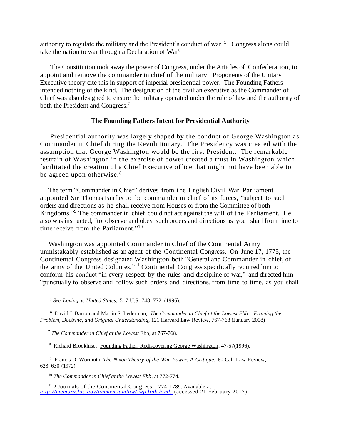authority to regulate the military and the President's conduct of war.<sup>5</sup> Congress alone could take the nation to war through a Declaration of  $\text{War}^6$ 

 The Constitution took away the power of Congress, under the Articles of Confederation, to appoint and remove the commander in chief of the military. Proponents of the Unitary Executive theory cite this in support of imperial presidential power. The Founding Fathers intended nothing of the kind. The designation of the civilian executive as the Commander of Chief was also designed to ensure the military operated under the rule of law and the authority of both the President and Congress.<sup>7</sup>

## **The Founding Fathers Intent for Presidential Authority**

 Presidential authority was largely shaped by the conduct of George Washington as Commander in Chief during the Revolutionary. The Presidency was created with the assumption that George Washington would be the first President. The remarkable restrain of Washington in the exercise of power created a trust in Washington which facilitated the creation of a Chief Executive office that might not have been able to be agreed upon otherwise.<sup>8</sup>

 The term "Commander in Chief" derives from the English Civil War. Parliament appointed Sir Thomas Fairfax to be commander in chief of its forces, "subject to such orders and directions as he shall receive from Houses or from the Committee of both Kingdoms." <sup>9</sup> The commander in chief could not act against the will of the Parliament. He also was instructed, "to observe and obey such orders and directions as you shall from time to time receive from the Parliament."<sup>10</sup>

 Washington was appointed Commander in Chief of the Continental Army unmistakably established as an agent of the Continental Congress. On June 17, 1775, the Continental Congress designated Washington both "General and Commander in chief, of the army of the United Colonies."<sup>11</sup> Continental Congress specifically required him to conform his conduct "in every respect by the rules and discipline of war," and directed him "punctually to observe and follow such orders and directions, from time to time, as you shall

<sup>6</sup> David J. Barron and Martin S. Lederman, *The Commander in Chief at the Lowest Ebb – Framing the Problem, Doctrine, and Original Understanding*, 121 Harvard Law Review, 767-768 (January 2008)

<sup>7</sup> *The Commander in Chief at the Lowest* Ebb, at 767-768.

<sup>8</sup> Richard Brookhiser, Founding Father: Rediscovering George Washington, 47-57(1996).

<sup>9</sup> Francis D. Wormuth, *The Nixon Theory of the War Power: A Critique*, 60 Cal. Law Review, 623, 630 (1972).

<sup>10</sup> *The Commander in Chief at the Lowest Ebb*, at 772-774.

<sup>11</sup> 2 Journals of the Continental Congress, 1774–1789. Available at *[http://memory.loc.gov/ammem/amlaw/lwjclink.html.](about:blank)* (accessed 21 February 2017).

<sup>5</sup> *See Loving v. United States*, 517 U.S. 748, 772. (1996).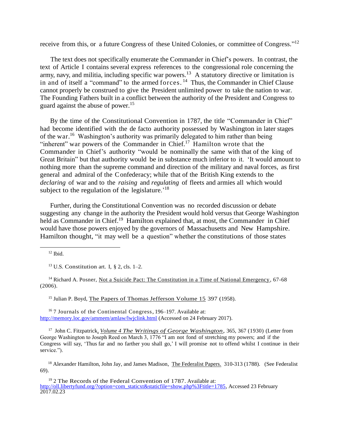receive from this, or a future Congress of these United Colonies, or committee of Congress."<sup>12</sup>

 The text does not specifically enumerate the Commander in Chief's powers. In contrast, the text of Article I contains several express references to the congressional role concerning the army, navy, and militia, including specific war powers.<sup>13</sup> A statutory directive or limitation is in and of itself a "command" to the armed forces. <sup>14</sup> Thus, the Commander in Chief Clause cannot properly be construed to give the President unlimited power to take the nation to war. The Founding Fathers built in a conflict between the authority of the President and Congress to guard against the abuse of power.<sup>15</sup>

 By the time of the Constitutional Convention in 1787, the title "Commander in Chief" had become identified with the de facto authority possessed by Washington in later stages of the war.<sup>16</sup> Washington's authority was primarily delegated to him rather than being "inherent" war powers of the Commander in Chief. $17$  Hamilton wrote that the Commander in Chief's authority "would be nominally the same with that of the king of Great Britain" but that authority would be in substance much inferior to it. 'It would amount to nothing more than the supreme command and direction of the military and naval forces, as first general and admiral of the Confederacy; while that of the British King extends to the *declaring* of war and to the *raising* and *regulating* of fleets and armies all which would subject to the regulation of the legislature.<sup>'18</sup>

 Further, during the Constitutional Convention was no recorded discussion or debate suggesting any change in the authority the President would hold versus that George Washington held as Commander in Chief.<sup>19</sup> Hamilton explained that, at most, the Commander in Chief would have those powers enjoyed by the governors of Massachusetts and New Hampshire. Hamilton thought, "it may well be a question" whether the constitutions of those states

 $12$  Ibid.

<sup>13</sup> U.S. Constitution art. I,  $\S$  2, cls. 1–2.

<sup>14</sup> Richard A. Posner, Not a Suicide Pact: The Constitution in a Time of National Emergency, 67-68 (2006).

<sup>15</sup> Julian P. Boyd, The Papers of Thomas Jefferson Volume 15 397 (1958).

<sup>16</sup> 7 Journals of the Continental Congress, 196–197. Available at: [http://memory.loc.gov/ammem/amlaw/lwjclink.html](about:blank) (Accessed on 24 February 2017).

<sup>17</sup> John C. Fitzpatrick*, Volume 4 The Writings of George Washington*, 365, 367 (1930) (Letter from George Washington to Joseph Reed on March 3, 1776 "I am not fond of stretching my powers; and if the Congress will say, 'Thus far and no farther you shall go,' I will promise not to offend whilst I continue in their service.").

<sup>18</sup> Alexander Hamilton, John Jay, and James Madison, The Federalist Papers. 310-313 (1788). (See Federalist 69).

 $19$  2 The Records of the Federal Convention of 1787. Available at: [http://oll.libertyfund.org/?option=com\\_staticxt&staticfile=show.php%3Ftitle=1785,](about:blank) Accessed 23 February 2017.02.23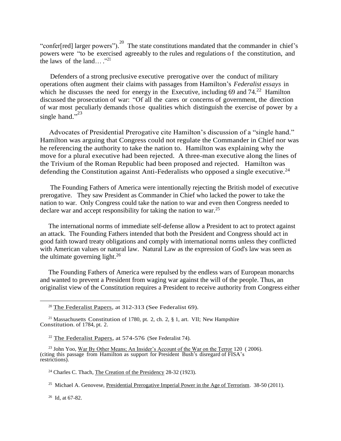"confer[red] larger powers").  $20$  The state constitutions mandated that the commander in chief's powers were "to be exercised agreeably to the rules and regulations of the constitution, and the laws of the land..."<sup>21</sup>

 Defenders of a strong preclusive executive prerogative over the conduct of military operations often augment their claims with passages from Hamilton's *Federalist essays* in which he discusses the need for energy in the Executive, including 69 and  $74<sup>22</sup>$  Hamilton discussed the prosecution of war: "Of all the cares or concerns of government, the direction of war most peculiarly demands those qualities which distinguish the exercise of power by a single hand." $\overline{3}^{23}$ 

 Advocates of Presidential Prerogative cite Hamilton's discussion of a "single hand." Hamilton was arguing that Congress could not regulate the Commander in Chief nor was he referencing the authority to take the nation to. Hamilton was explaining why the move for a plural executive had been rejected. A three-man executive along the lines of the Trivium of the Roman Republic had been proposed and rejected. Hamilton was defending the Constitution against Anti-Federalists who opposed a single executive.<sup>24</sup>

 The Founding Fathers of America were intentionally rejecting the British model of executive prerogative. They saw President as Commander in Chief who lacked the power to take the nation to war. Only Congress could take the nation to war and even then Congress needed to declare war and accept responsibility for taking the nation to war.<sup>25</sup>

 The international norms of immediate self-defense allow a President to act to protect against an attack. The Founding Fathers intended that both the President and Congress should act in good faith toward treaty obligations and comply with international norms unless they conflicted with American values or natural law. Natural Law as the expression of God's law was seen as the ultimate governing light. $26$ 

 The Founding Fathers of America were repulsed by the endless wars of European monarchs and wanted to prevent a President from waging war against the will of the people. Thus, an originalist view of the Constitution requires a President to receive authority from Congress either

 $26$  Id, at 67-82.

 $20$  The Federalist Papers, at 312-313 (See Federalist 69).

<sup>&</sup>lt;sup>21</sup> Massachusetts Constitution of 1780, pt. 2, ch. 2,  $\S$  1, art. VII; New Hampshire Constitution. of 1784, pt. 2.

 $22$  The Federalist Papers, at 574-576 (See Federalist 74).

 <sup>23</sup> John Yoo, War By Other Means; An Insider's Account of the War on the Terror 120( 2006). (citing this passage from Hamilton as support for President Bush's disregard of FISA's restrictions).

<sup>24</sup> Charles C. Thach, The Creation of the Presidency 28-32 (1923).

<sup>&</sup>lt;sup>25</sup> Michael A. Genovese, Presidential Prerogative Imperial Power in the Age of Terrorism. 38-50 (2011).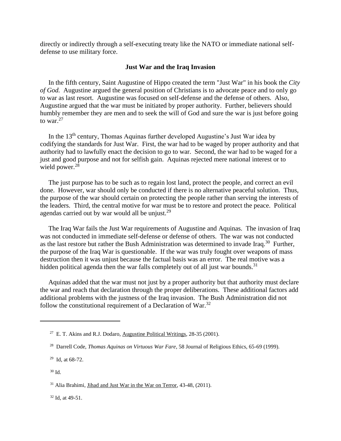directly or indirectly through a self-executing treaty like the NATO or immediate national selfdefense to use military force.

#### **Just War and the Iraq Invasion**

In the fifth century, Saint Augustine of Hippo created the term "Just War" in his book the *City of God.* Augustine argued the general position of Christians is to advocate peace and to only go to war as last resort. Augustine was focused on self-defense and the defense of others. Also, Augustine argued that the war must be initiated by proper authority. Further, believers should humbly remember they are men and to seek the will of God and sure the war is just before going to war. $27$ 

In the 13<sup>th</sup> century, Thomas Aquinas further developed Augustine's Just War idea by codifying the standards for Just War. First, the war had to be waged by proper authority and that authority had to lawfully enact the decision to go to war. Second, the war had to be waged for a just and good purpose and not for selfish gain. Aquinas rejected mere national interest or to wield power.<sup>28</sup>

 The just purpose has to be such as to regain lost land, protect the people, and correct an evil done. However, war should only be conducted if there is no alternative peaceful solution. Thus, the purpose of the war should certain on protecting the people rather than serving the interests of the leaders. Third, the central motive for war must be to restore and protect the peace. Political agendas carried out by war would all be unjust.<sup>29</sup>

 The Iraq War fails the Just War requirements of Augustine and Aquinas. The invasion of Iraq was not conducted in immediate self-defense or defense of others. The war was not conducted as the last restore but rather the Bush Administration was determined to invade Iraq.<sup>30</sup> Further, the purpose of the Iraq War is questionable. If the war was truly fought over weapons of mass destruction then it was unjust because the factual basis was an error. The real motive was a hidden political agenda then the war falls completely out of all just war bounds.<sup>31</sup>

 Aquinas added that the war must not just by a proper authority but that authority must declare the war and reach that declaration through the proper deliberations. These additional factors add additional problems with the justness of the Iraq invasion. The Bush Administration did not follow the constitutional requirement of a Declaration of War. $32$ 

 $32$  Id. at 49-51.

<sup>&</sup>lt;sup>27</sup> E. T. Akins and R.J. Dodaro, <u>Augustine Political Writings</u>, 28-35 (2001).

<sup>28</sup> Darrell Code, *Thomas Aquinas on Virtuous War Fare*, 58 Journal of Religious Ethics, 65-69 (1999).

 $29$  Id, at 68-72.

<sup>30</sup> Id.

<sup>&</sup>lt;sup>31</sup> Alia Brahimi, *Jihad and Just War in the War on Terror*, 43-48, (2011).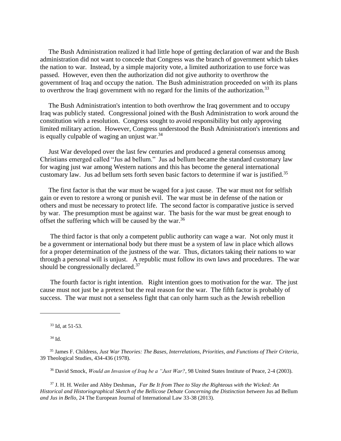The Bush Administration realized it had little hope of getting declaration of war and the Bush administration did not want to concede that Congress was the branch of government which takes the nation to war. Instead, by a simple majority vote, a limited authorization to use force was passed. However, even then the authorization did not give authority to overthrow the government of Iraq and occupy the nation. The Bush administration proceeded on with its plans to overthrow the Iraqi government with no regard for the limits of the authorization.<sup>33</sup>

 The Bush Administration's intention to both overthrow the Iraq government and to occupy Iraq was publicly stated. Congressional joined with the Bush Administration to work around the constitution with a resolution. Congress sought to avoid responsibility but only approving limited military action. However, Congress understood the Bush Administration's intentions and is equally culpable of waging an unjust war. $34$ 

 Just War developed over the last few centuries and produced a general consensus among Christians emerged called "Jus ad bellum." Jus ad bellum became the standard customary law for waging just war among Western nations and this has become the general international customary law. Jus ad bellum sets forth seven basic factors to determine if war is justified.<sup>35</sup>

 The first factor is that the war must be waged for a just cause. The war must not for selfish gain or even to restore a wrong or punish evil. The war must be in defense of the nation or others and must be necessary to protect life. The second factor is comparative justice is served by war. The presumption must be against war. The basis for the war must be great enough to offset the suffering which will be caused by the war.<sup>36</sup>

 The third factor is that only a competent public authority can wage a war. Not only must it be a government or international body but there must be a system of law in place which allows for a proper determination of the justness of the war. Thus, dictators taking their nations to war through a personal will is unjust. A republic must follow its own laws and procedures. The war should be congressionally declared.<sup>37</sup>

 The fourth factor is right intention. Right intention goes to motivation for the war. The just cause must not just be a pretext but the real reason for the war. The fifth factor is probably of success. The war must not a senseless fight that can only harm such as the Jewish rebellion

<sup>33</sup> Id, at 51-53.

<sup>34</sup> Id.

<sup>36</sup> David Smock, *Would an Invasion of Iraq be a "Just War?*, 98 United States Institute of Peace, 2-4 (2003).

<sup>37</sup> J. H. H. Weiler and Abby Deshman, *Far Be It from Thee to Slay the Righteous with the Wicked: An Historical and Historiographical Sketch of the Bellicose Debate Concerning the Distinction between* Jus ad Bellum *and Jus in Bello*, 24 The European Journal of International Law 33-38 (2013).

<sup>35</sup> James F. Childress, *Just War Theories: The Bases, Interrelations, Priorities, and Functions of Their Criteria*, 39 Theological Studies, 434-436 (1978).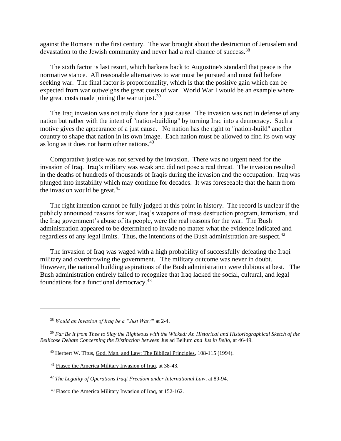against the Romans in the first century. The war brought about the destruction of Jerusalem and devastation to the Jewish community and never had a real chance of success.<sup>38</sup>

 The sixth factor is last resort, which harkens back to Augustine's standard that peace is the normative stance. All reasonable alternatives to war must be pursued and must fail before seeking war. The final factor is proportionality, which is that the positive gain which can be expected from war outweighs the great costs of war. World War I would be an example where the great costs made joining the war unjust. $39$ 

 The Iraq invasion was not truly done for a just cause. The invasion was not in defense of any nation but rather with the intent of "nation-building" by turning Iraq into a democracy. Such a motive gives the appearance of a just cause. No nation has the right to "nation-build" another country to shape that nation in its own image. Each nation must be allowed to find its own way as long as it does not harm other nations.<sup>40</sup>

 Comparative justice was not served by the invasion. There was no urgent need for the invasion of Iraq. Iraq's military was weak and did not pose a real threat. The invasion resulted in the deaths of hundreds of thousands of Iraqis during the invasion and the occupation. Iraq was plunged into instability which may continue for decades. It was foreseeable that the harm from the invasion would be great. $41$ 

 The right intention cannot be fully judged at this point in history. The record is unclear if the publicly announced reasons for war, Iraq's weapons of mass destruction program, terrorism, and the Iraq government's abuse of its people, were the real reasons for the war. The Bush administration appeared to be determined to invade no matter what the evidence indicated and regardless of any legal limits. Thus, the intentions of the Bush administration are suspect.<sup>42</sup>

 The invasion of Iraq was waged with a high probability of successfully defeating the Iraqi military and overthrowing the government. The military outcome was never in doubt. However, the national building aspirations of the Bush administration were dubious at best. The Bush administration entirely failed to recognize that Iraq lacked the social, cultural, and legal foundations for a functional democracy.<sup>43</sup>

<sup>38</sup> *Would an Invasion of Iraq be a "Just War?*" at 2-4.

<sup>39</sup> *Far Be It from Thee to Slay the Righteous with the Wicked: An Historical and Historiographical Sketch of the Bellicose Debate Concerning the Distinction between* Jus ad Bellum *and Jus in Bello*, at 46-49.

<sup>40</sup> Herbert W. Titus, God, Man, and Law: The Biblical Principles, 108-115 (1994).

<sup>41</sup> Fiasco the America Military Invasion of Iraq, at 38-43.

<sup>42</sup> *The Legality of Operations Iraqi Freedom under International Law*, at 89-94.

<sup>43</sup> Fiasco the America Military Invasion of Iraq, at 152-162.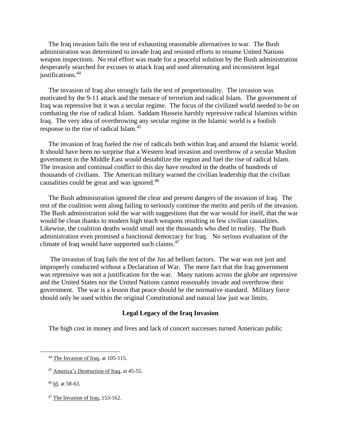The Iraq invasion fails the test of exhausting reasonable alternatives to war. The Bush administration was determined to invade Iraq and resisted efforts to resume United Nations weapon inspections. No real effort was made for a peaceful solution by the Bush administration desperately searched for excuses to attack Iraq and used alternating and inconsistent legal justifications.<sup>44</sup>

 The invasion of Iraq also strongly fails the test of proportionality. The invasion was motivated by the 9-11 attack and the menace of terrorism and radical Islam. The government of Iraq was repressive but it was a secular regime. The focus of the civilized world needed to be on combating the rise of radical Islam. Saddam Hussein harshly repressive radical Islamists within Iraq. The very idea of overthrowing any secular regime in the Islamic world is a foolish response to the rise of radical Islam.<sup>45</sup>

 The invasion of Iraq fueled the rise of radicals both within Iraq and around the Islamic world. It should have been no surprise that a Western lead invasion and overthrow of a secular Muslim government in the Middle East would destabilize the region and fuel the rise of radical Islam. The invasion and continual conflict to this day have resulted in the deaths of hundreds of thousands of civilians. The American military warned the civilian leadership that the civilian causalities could be great and was ignored.<sup>46</sup>

 The Bush administration ignored the clear and present dangers of the invasion of Iraq. The rest of the coalition went along failing to seriously continue the merits and perils of the invasion. The Bush administration sold the war with suggestions that the war would for itself, that the war would be clean thanks to modern high teach weapons resulting in few civilian causalities. Likewise, the coalition deaths would small not the thousands who died in reality. The Bush administration even promised a functional democracy for Iraq. No serious evaluation of the climate of Iraq would have supported such claims.<sup>47</sup>

 The invasion of Iraq fails the test of the Jus ad bellum factors. The war was not just and improperly conducted without a Declaration of War. The mere fact that the Iraq government was repressive was not a justification for the war. Many nations across the globe are repressive and the United States nor the United Nations cannot reasonably invade and overthrow their government. The war is a lesson that peace should be the normative standard. Military force should only be used within the original Constitutional and natural law just war limits.

### **Legal Legacy of the Iraq Invasion**

The high cost in money and lives and lack of concert successes turned American public

<sup>47</sup> The Invasion of Iraq, 153-162.

<sup>&</sup>lt;sup>44</sup> The Invasion of Iraq, at 105-115.

<sup>45</sup> America's Destruction of Iraq, at 45-55.

<sup>46</sup> Id, at 58-63.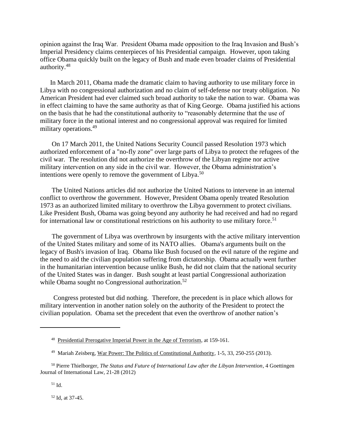opinion against the Iraq War. President Obama made opposition to the Iraq Invasion and Bush's Imperial Presidency claims centerpieces of his Presidential campaign. However, upon taking office Obama quickly built on the legacy of Bush and made even broader claims of Presidential authority.<sup>48</sup>

 In March 2011, Obama made the dramatic claim to having authority to use military force in Libya with no congressional authorization and no claim of self-defense nor treaty obligation. No American President had ever claimed such broad authority to take the nation to war. Obama was in effect claiming to have the same authority as that of King George. Obama justified his actions on the basis that he had the constitutional authority to "reasonably determine that the use of military force in the national interest and no congressional approval was required for limited military operations.<sup>49</sup>

 On 17 March 2011, the United Nations Security Council passed Resolution 1973 which authorized enforcement of a "no-fly zone" over large parts of Libya to protect the refugees of the civil war. The resolution did not authorize the overthrow of the Libyan regime nor active military intervention on any side in the civil war. However, the Obama administration's intentions were openly to remove the government of Libya.<sup>50</sup>

 The United Nations articles did not authorize the United Nations to intervene in an internal conflict to overthrow the government. However, President Obama openly treated Resolution 1973 as an authorized limited military to overthrow the Libya government to protect civilians. Like President Bush, Obama was going beyond any authority he had received and had no regard for international law or constitutional restrictions on his authority to use military force.<sup>51</sup>

 The government of Libya was overthrown by insurgents with the active military intervention of the United States military and some of its NATO allies. Obama's arguments built on the legacy of Bush's invasion of Iraq. Obama like Bush focused on the evil nature of the regime and the need to aid the civilian population suffering from dictatorship. Obama actually went further in the humanitarian intervention because unlike Bush, he did not claim that the national security of the United States was in danger. Bush sought at least partial Congressional authorization while Obama sought no Congressional authorization.<sup>52</sup>

 Congress protested but did nothing. Therefore, the precedent is in place which allows for military intervention in another nation solely on the authority of the President to protect the civilian population. Obama set the precedent that even the overthrow of another nation's

<sup>52</sup> Id, at 37-45.

<sup>&</sup>lt;sup>48</sup> Presidential Prerogative Imperial Power in the Age of Terrorism, at 159-161.

<sup>&</sup>lt;sup>49</sup> Mariah Zeisberg, War Power: The Politics of Constitutional Authority, 1-5, 33, 250-255 (2013).

<sup>50</sup> Pierre Thielborger, *The Status and Future of International Law after the Libyan Intervention*, 4 Goettingen Journal of International Law, 21-28 (2012)

<sup>51</sup> Id.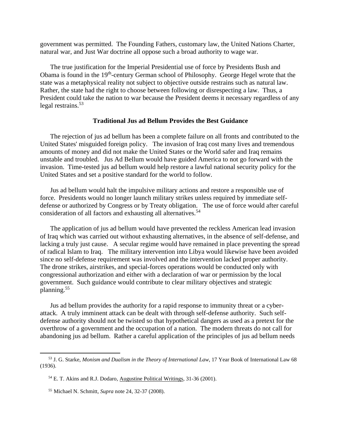government was permitted. The Founding Fathers, customary law, the United Nations Charter, natural war, and Just War doctrine all oppose such a broad authority to wage war.

 The true justification for the Imperial Presidential use of force by Presidents Bush and Obama is found in the 19<sup>th</sup>-century German school of Philosophy. George Hegel wrote that the state was a metaphysical reality not subject to objective outside restrains such as natural law. Rather, the state had the right to choose between following or disrespecting a law. Thus, a President could take the nation to war because the President deems it necessary regardless of any legal restrains.<sup>53</sup>

#### **Traditional Jus ad Bellum Provides the Best Guidance**

The rejection of jus ad bellum has been a complete failure on all fronts and contributed to the United States' misguided foreign policy. The invasion of Iraq cost many lives and tremendous amounts of money and did not make the United States or the World safer and Iraq remains unstable and troubled. Jus Ad Bellum would have guided America to not go forward with the invasion. Time-tested jus ad bellum would help restore a lawful national security policy for the United States and set a positive standard for the world to follow.

 Jus ad bellum would halt the impulsive military actions and restore a responsible use of force. Presidents would no longer launch military strikes unless required by immediate selfdefense or authorized by Congress or by Treaty obligation. The use of force would after careful consideration of all factors and exhausting all alternatives.<sup>54</sup>

 The application of jus ad bellum would have prevented the reckless American lead invasion of Iraq which was carried out without exhausting alternatives, in the absence of self-defense, and lacking a truly just cause. A secular regime would have remained in place preventing the spread of radical Islam to Iraq. The military intervention into Libya would likewise have been avoided since no self-defense requirement was involved and the intervention lacked proper authority. The drone strikes, airstrikes, and special-forces operations would be conducted only with congressional authorization and either with a declaration of war or permission by the local government. Such guidance would contribute to clear military objectives and strategic planning.<sup>55</sup>

Jus ad bellum provides the authority for a rapid response to immunity threat or a cyberattack. A truly imminent attack can be dealt with through self-defense authority. Such selfdefense authority should not be twisted so that hypothetical dangers as used as a pretext for the overthrow of a government and the occupation of a nation. The modern threats do not call for abandoning jus ad bellum. Rather a careful application of the principles of jus ad bellum needs

<sup>53</sup> J. G. Starke, *Monism and Dualism in the Theory of International Law*, 17 Year Book of International Law 68 (1936).

<sup>54</sup> E. T. Akins and R.J. Dodaro, Augustine Political Writings, 31-36 (2001).

<sup>55</sup> Michael N. Schmitt, *Supra* note 24, 32-37 (2008).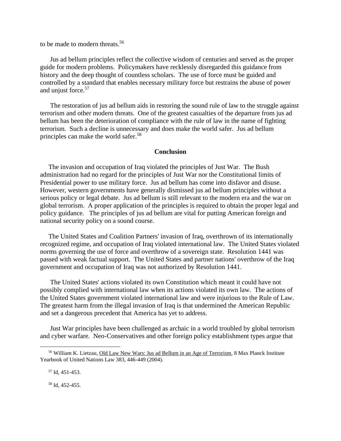to be made to modern threats.<sup>56</sup>

 Jus ad bellum principles reflect the collective wisdom of centuries and served as the proper guide for modern problems. Policymakers have recklessly disregarded this guidance from history and the deep thought of countless scholars. The use of force must be guided and controlled by a standard that enables necessary military force but restrains the abuse of power and unjust force.<sup>57</sup>

 The restoration of jus ad bellum aids in restoring the sound rule of law to the struggle against terrorism and other modern threats. One of the greatest casualties of the departure from jus ad bellum has been the deterioration of compliance with the rule of law in the name of fighting terrorism. Such a decline is unnecessary and does make the world safer. Jus ad bellum principles can make the world safer.<sup>58</sup>

#### **Conclusion**

 The invasion and occupation of Iraq violated the principles of Just War. The Bush administration had no regard for the principles of Just War nor the Constitutional limits of Presidential power to use military force. Jus ad bellum has come into disfavor and disuse. However, western governments have generally dismissed jus ad bellum principles without a serious policy or legal debate. Jus ad bellum is still relevant to the modern era and the war on global terrorism. A proper application of the principles is required to obtain the proper legal and policy guidance. The principles of jus ad bellum are vital for putting American foreign and national security policy on a sound course.

 The United States and Coalition Partners' invasion of Iraq, overthrown of its internationally recognized regime, and occupation of Iraq violated international law. The United States violated norms governing the use of force and overthrow of a sovereign state. Resolution 1441 was passed with weak factual support. The United States and partner nations' overthrow of the Iraq government and occupation of Iraq was not authorized by Resolution 1441.

 The United States' actions violated its own Constitution which meant it could have not possibly complied with international law when its actions violated its own law. The actions of the United States government violated international law and were injurious to the Rule of Law. The greatest harm from the illegal invasion of Iraq is that undermined the American Republic and set a dangerous precedent that America has yet to address.

 Just War principles have been challenged as archaic in a world troubled by global terrorism and cyber warfare. Neo-Conservatives and other foreign policy establishment types argue that

<sup>58</sup> Id, 452-455.

<sup>56</sup> William K. Lietzau, Old Law New Wars: Jus ad Bellum in an Age of Terrorism, 8 Max Planck Institute Yearbook of United Nations Law 383, 446-449 (2004).

<sup>57</sup> Id, 451-453.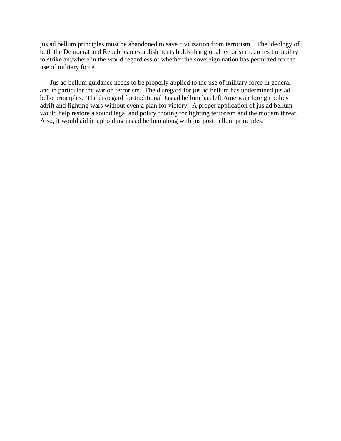jus ad bellum principles must be abandoned to save civilization from terrorism. The ideology of both the Democrat and Republican establishments holds that global terrorism requires the ability to strike anywhere in the world regardless of whether the sovereign nation has permitted for the use of military force.

 Jus ad bellum guidance needs to be properly applied to the use of military force in general and in particular the war on terrorism. The disregard for jus ad bellum has undermined jus ad bello principles. The disregard for traditional Jus ad bellum has left American foreign policy adrift and fighting wars without even a plan for victory. A proper application of jus ad bellum would help restore a sound legal and policy footing for fighting terrorism and the modern threat. Also, it would aid in upholding jus ad bellum along with jus post bellum principles.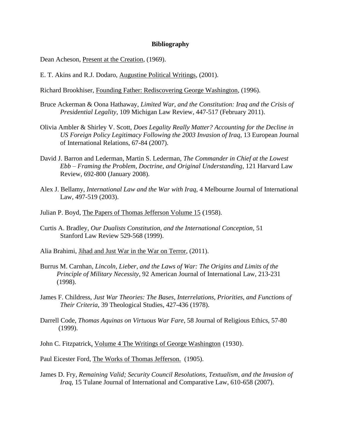### **Bibliography**

Dean Acheson, Present at the Creation, (1969).

E. T. Akins and R.J. Dodaro, Augustine Political Writings, (2001).

Richard Brookhiser, Founding Father: Rediscovering George Washington, (1996).

- Bruce Ackerman & Oona Hathaway, *Limited War, and the Constitution: Iraq and the Crisis of Presidential Legality*, 109 Michigan Law Review, 447-517 (February 2011).
- Olivia Ambler & Shirley V. Scott, *Does Legality Really Matter? Accounting for the Decline in US Foreign Policy Legitimacy Following the 2003 Invasion of Iraq*, 13 European Journal of International Relations, 67-84 (2007).
- David J. Barron and Lederman, Martin S. Lederman, *The Commander in Chief at the Lowest Ebb – Framing the Problem, Doctrine, and Original Understanding*, 121 Harvard Law Review, 692-800 (January 2008).
- Alex J. Bellamy, *International Law and the War with Iraq*, 4 Melbourne Journal of International Law, 497-519 (2003).
- Julian P. Boyd, The Papers of Thomas Jefferson Volume 15 (1958).
- Curtis A. Bradley, *Our Dualists Constitution, and the International Conception*, 51 Stanford Law Review 529-568 (1999).
- Alia Brahimi, Jihad and Just War in the War on Terror, (2011).
- Burrus M. Carnhan, *Lincoln, Lieber, and the Laws of War: The Origins and Limits of the Principle of Military Necessity*, 92 American Journal of International Law, 213-231 (1998).
- James F. Childress, *Just War Theories: The Bases, Interrelations, Priorities, and Functions of Their Criteria*, 39 Theological Studies, 427-436 (1978).
- Darrell Code, *Thomas Aquinas on Virtuous War Fare*, 58 Journal of Religious Ethics, 57-80 (1999).

John C. Fitzpatrick*,* Volume 4 The Writings of George Washington (1930).

Paul Eicester Ford, The Works of Thomas Jefferson. (1905).

James D. Fry, *Remaining Valid; Security Council Resolutions, Textualism, and the Invasion of Iraq*, 15 Tulane Journal of International and Comparative Law, 610-658 (2007).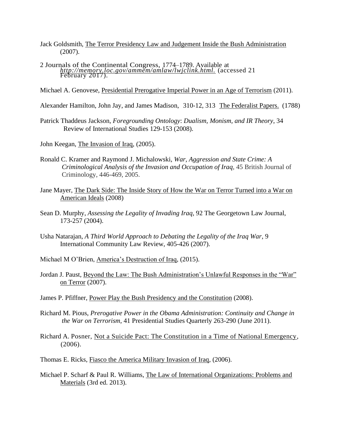- Jack Goldsmith, The Terror Presidency Law and Judgement Inside the Bush Administration (2007).
- 2 Journals of the Continental Congress, 1774–1789. Available at  *[http://memory.loc.gov/ammem/amlaw/lwjclink.html.](about:blank)* (accessed 21 February 2017).
- Michael A. Genovese, Presidential Prerogative Imperial Power in an Age of Terrorism (2011).
- Alexander Hamilton, John Jay, and James Madison, 310-12, 313 The Federalist Papers. (1788)
- Patrick Thaddeus Jackson, *Foregrounding Ontology*: *Dualism, Monism, and IR Theory*, 34 Review of International Studies 129-153 (2008).
- John Keegan, The Invasion of Iraq, (2005).
- Ronald C. Kramer and Raymond J. Michalowski, *War, Aggression and State Crime: A Criminological Analysis of the Invasion and Occupation of Iraq*, 45 British Journal of Criminology, 446-469, 2005.
- Jane Mayer, The Dark Side: The Inside Story of How the War on Terror Turned into a War on American Ideals (2008)
- Sean D. Murphy, *Assessing the Legality of Invading Iraq*, 92 The Georgetown Law Journal, 173-257 (2004).
- Usha Natarajan, *A Third World Approach to Debating the Legality of the Iraq War*, 9 International Community Law Review, 405-426 (2007).
- Michael M O'Brien, America's Destruction of Iraq, (2015).
- Jordan J. Paust, Beyond the Law: The Bush Administration's Unlawful Responses in the "War" on Terror (2007).
- James P. Pfiffner, Power Play the Bush Presidency and the Constitution (2008).
- Richard M. Pious, *Prerogative Power in the Obama Administration: Continuity and Change in the War on Terrorism*, 41 Presidential Studies Quarterly 263-290 (June 2011).
- Richard A. Posner, Not a Suicide Pact: The Constitution in a Time of National Emergency,  $(2006)$ .
- Thomas E. Ricks, Fiasco the America Military Invasion of Iraq, (2006).
- Michael P. Scharf & Paul R. Williams, The Law of International Organizations: Problems and Materials (3rd ed. 2013).